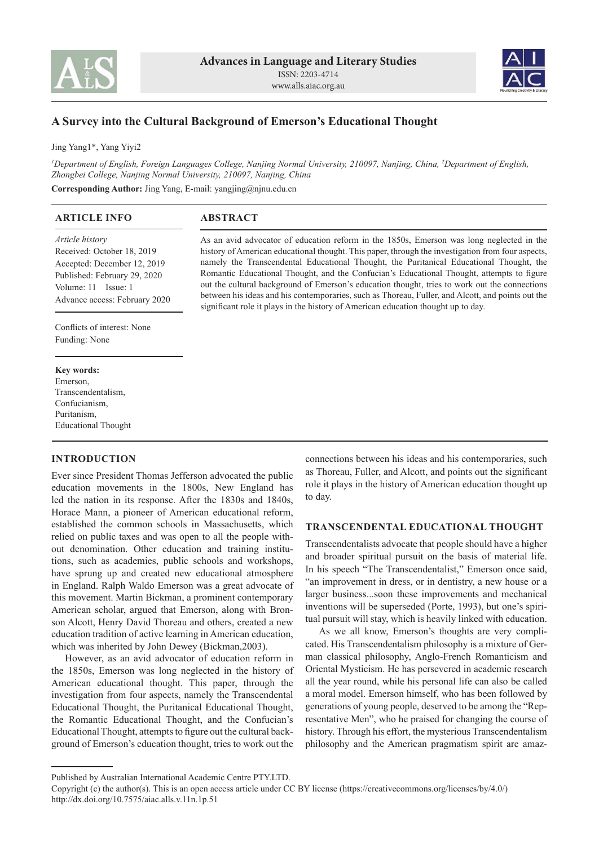



# **A Survey into the Cultural Background of Emerson's Educational Thought**

Jing Yang1\*, Yang Yiyi2

*1 Department of English, Foreign Languages College, Nanjing Normal University, 210097, Nanjing, China, 2 Department of English, Zhongbei College, Nanjing Normal University, 210097, Nanjing, China*

**Corresponding Author:** Jing Yang, E-mail: yangjing@njnu.edu.cn

| <b>ARTICLE INFO</b>                                                                                                                                                  | <b>ABSTRACT</b>                                                                                                                                                                                                                                                                                                                                                                                                                                                                                                                                                                                                                                                                  |
|----------------------------------------------------------------------------------------------------------------------------------------------------------------------|----------------------------------------------------------------------------------------------------------------------------------------------------------------------------------------------------------------------------------------------------------------------------------------------------------------------------------------------------------------------------------------------------------------------------------------------------------------------------------------------------------------------------------------------------------------------------------------------------------------------------------------------------------------------------------|
| Article history<br>Received: October 18, 2019<br>Accepted: December 12, 2019<br>Published: February 29, 2020<br>Volume: 11 Issue: 1<br>Advance access: February 2020 | As an avid advocator of education reform in the 1850s. Emerson was long neglected in the<br>history of American educational thought. This paper, through the investigation from four aspects,<br>namely the Transcendental Educational Thought, the Puritanical Educational Thought, the<br>Romantic Educational Thought, and the Confucian's Educational Thought, attempts to figure<br>out the cultural background of Emerson's education thought, tries to work out the connections<br>between his ideas and his contemporaries, such as Thoreau, Fuller, and Alcott, and points out the<br>significant role it plays in the history of American education thought up to day. |
| Conflicts of interest: None                                                                                                                                          |                                                                                                                                                                                                                                                                                                                                                                                                                                                                                                                                                                                                                                                                                  |
| Funding: None                                                                                                                                                        |                                                                                                                                                                                                                                                                                                                                                                                                                                                                                                                                                                                                                                                                                  |
|                                                                                                                                                                      |                                                                                                                                                                                                                                                                                                                                                                                                                                                                                                                                                                                                                                                                                  |
| <b>Key words:</b>                                                                                                                                                    |                                                                                                                                                                                                                                                                                                                                                                                                                                                                                                                                                                                                                                                                                  |
| Emerson,                                                                                                                                                             |                                                                                                                                                                                                                                                                                                                                                                                                                                                                                                                                                                                                                                                                                  |
| Transcendentalism                                                                                                                                                    |                                                                                                                                                                                                                                                                                                                                                                                                                                                                                                                                                                                                                                                                                  |

Transcendentalism, Confucianism, Puritanism, Educational Thought

## **INTRODUCTION**

Ever since President Thomas Jefferson advocated the public education movements in the 1800s, New England has led the nation in its response. After the 1830s and 1840s, Horace Mann, a pioneer of American educational reform, established the common schools in Massachusetts, which relied on public taxes and was open to all the people without denomination. Other education and training institutions, such as academies, public schools and workshops, have sprung up and created new educational atmosphere in England. Ralph Waldo Emerson was a great advocate of this movement. Martin Bickman, a prominent contemporary American scholar, argued that Emerson, along with Bronson Alcott, Henry David Thoreau and others, created a new education tradition of active learning in American education, which was inherited by John Dewey (Bickman,2003).

However, as an avid advocator of education reform in the 1850s, Emerson was long neglected in the history of American educational thought. This paper, through the investigation from four aspects, namely the Transcendental Educational Thought, the Puritanical Educational Thought, the Romantic Educational Thought, and the Confucian's Educational Thought, attempts to figure out the cultural background of Emerson's education thought, tries to work out the

connections between his ideas and his contemporaries, such as Thoreau, Fuller, and Alcott, and points out the significant role it plays in the history of American education thought up to day.

## **TRANSCENDENTAL EDUCATIONAL THOUGHT**

Transcendentalists advocate that people should have a higher and broader spiritual pursuit on the basis of material life. In his speech "The Transcendentalist," Emerson once said, "an improvement in dress, or in dentistry, a new house or a larger business...soon these improvements and mechanical inventions will be superseded (Porte, 1993), but one's spiritual pursuit will stay, which is heavily linked with education.

As we all know, Emerson's thoughts are very complicated. His Transcendentalism philosophy is a mixture of German classical philosophy, Anglo-French Romanticism and Oriental Mysticism. He has persevered in academic research all the year round, while his personal life can also be called a moral model. Emerson himself, who has been followed by generations of young people, deserved to be among the "Representative Men", who he praised for changing the course of history. Through his effort, the mysterious Transcendentalism philosophy and the American pragmatism spirit are amaz-

Published by Australian International Academic Centre PTY.LTD.

Copyright (c) the author(s). This is an open access article under CC BY license (https://creativecommons.org/licenses/by/4.0/) http://dx.doi.org/10.7575/aiac.alls.v.11n.1p.51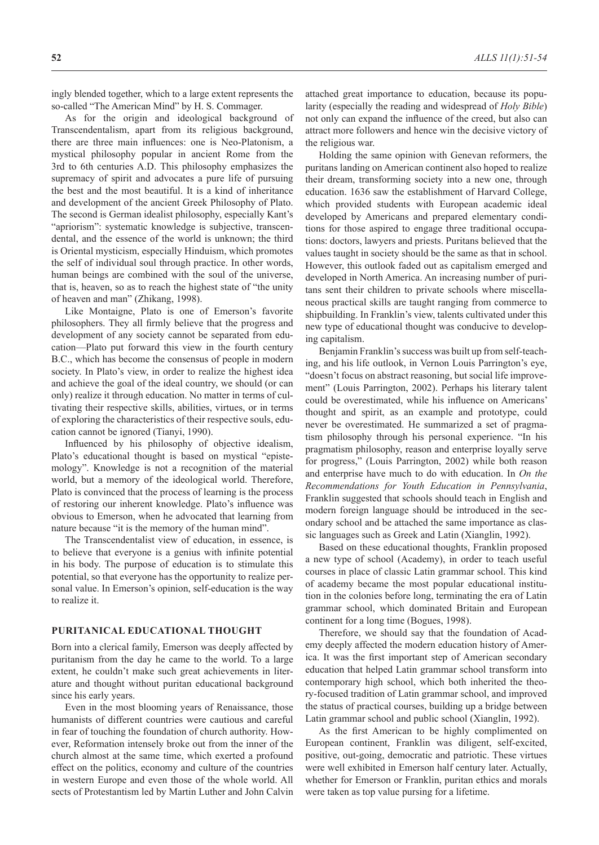ingly blended together, which to a large extent represents the so-called "The American Mind" by H. S. Commager.

As for the origin and ideological background of Transcendentalism, apart from its religious background, there are three main influences: one is Neo-Platonism, a mystical philosophy popular in ancient Rome from the 3rd to 6th centuries A.D. This philosophy emphasizes the supremacy of spirit and advocates a pure life of pursuing the best and the most beautiful. It is a kind of inheritance and development of the ancient Greek Philosophy of Plato. The second is German idealist philosophy, especially Kant's "apriorism": systematic knowledge is subjective, transcendental, and the essence of the world is unknown; the third is Oriental mysticism, especially Hinduism, which promotes the self of individual soul through practice. In other words, human beings are combined with the soul of the universe, that is, heaven, so as to reach the highest state of "the unity of heaven and man" (Zhikang, 1998).

Like Montaigne, Plato is one of Emerson's favorite philosophers. They all firmly believe that the progress and development of any society cannot be separated from education—Plato put forward this view in the fourth century B.C., which has become the consensus of people in modern society. In Plato's view, in order to realize the highest idea and achieve the goal of the ideal country, we should (or can only) realize it through education. No matter in terms of cultivating their respective skills, abilities, virtues, or in terms of exploring the characteristics of their respective souls, education cannot be ignored (Tianyi, 1990).

Influenced by his philosophy of objective idealism, Plato's educational thought is based on mystical "epistemology". Knowledge is not a recognition of the material world, but a memory of the ideological world. Therefore, Plato is convinced that the process of learning is the process of restoring our inherent knowledge. Plato's influence was obvious to Emerson, when he advocated that learning from nature because "it is the memory of the human mind".

The Transcendentalist view of education, in essence, is to believe that everyone is a genius with infinite potential in his body. The purpose of education is to stimulate this potential, so that everyone has the opportunity to realize personal value. In Emerson's opinion, self-education is the way to realize it.

## **PURITANICAL EDUCATIONAL THOUGHT**

Born into a clerical family, Emerson was deeply affected by puritanism from the day he came to the world. To a large extent, he couldn't make such great achievements in literature and thought without puritan educational background since his early years.

Even in the most blooming years of Renaissance, those humanists of different countries were cautious and careful in fear of touching the foundation of church authority. However, Reformation intensely broke out from the inner of the church almost at the same time, which exerted a profound effect on the politics, economy and culture of the countries in western Europe and even those of the whole world. All sects of Protestantism led by Martin Luther and John Calvin attached great importance to education, because its popularity (especially the reading and widespread of *Holy Bible*) not only can expand the influence of the creed, but also can attract more followers and hence win the decisive victory of the religious war.

Holding the same opinion with Genevan reformers, the puritans landing on American continent also hoped to realize their dream, transforming society into a new one, through education. 1636 saw the establishment of Harvard College, which provided students with European academic ideal developed by Americans and prepared elementary conditions for those aspired to engage three traditional occupations: doctors, lawyers and priests. Puritans believed that the values taught in society should be the same as that in school. However, this outlook faded out as capitalism emerged and developed in North America. An increasing number of puritans sent their children to private schools where miscellaneous practical skills are taught ranging from commerce to shipbuilding. In Franklin's view, talents cultivated under this new type of educational thought was conducive to developing capitalism.

Benjamin Franklin's success was built up from self-teaching, and his life outlook, in Vernon Louis Parrington's eye, "doesn't focus on abstract reasoning, but social life improvement" (Louis Parrington, 2002). Perhaps his literary talent could be overestimated, while his influence on Americans' thought and spirit, as an example and prototype, could never be overestimated. He summarized a set of pragmatism philosophy through his personal experience. "In his pragmatism philosophy, reason and enterprise loyally serve for progress," (Louis Parrington, 2002) while both reason and enterprise have much to do with education. In *On the Recommendations for Youth Education in Pennsylvania*, Franklin suggested that schools should teach in English and modern foreign language should be introduced in the secondary school and be attached the same importance as classic languages such as Greek and Latin (Xianglin, 1992).

Based on these educational thoughts, Franklin proposed a new type of school (Academy), in order to teach useful courses in place of classic Latin grammar school. This kind of academy became the most popular educational institution in the colonies before long, terminating the era of Latin grammar school, which dominated Britain and European continent for a long time (Bogues, 1998).

Therefore, we should say that the foundation of Academy deeply affected the modern education history of America. It was the first important step of American secondary education that helped Latin grammar school transform into contemporary high school, which both inherited the theory-focused tradition of Latin grammar school, and improved the status of practical courses, building up a bridge between Latin grammar school and public school (Xianglin, 1992).

As the first American to be highly complimented on European continent, Franklin was diligent, self-excited, positive, out-going, democratic and patriotic. These virtues were well exhibited in Emerson half century later. Actually, whether for Emerson or Franklin, puritan ethics and morals were taken as top value pursing for a lifetime.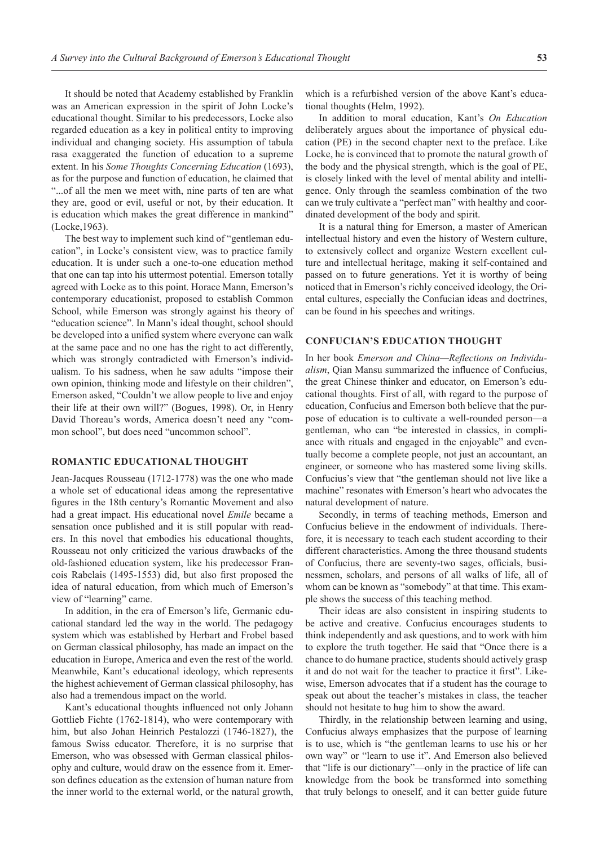It should be noted that Academy established by Franklin was an American expression in the spirit of John Locke's educational thought. Similar to his predecessors, Locke also regarded education as a key in political entity to improving individual and changing society. His assumption of tabula rasa exaggerated the function of education to a supreme extent. In his *Some Thoughts Concerning Education* (1693), as for the purpose and function of education, he claimed that "...of all the men we meet with, nine parts of ten are what they are, good or evil, useful or not, by their education. It is education which makes the great difference in mankind" (Locke,1963).

The best way to implement such kind of "gentleman education", in Locke's consistent view, was to practice family education. It is under such a one-to-one education method that one can tap into his uttermost potential. Emerson totally agreed with Locke as to this point. Horace Mann, Emerson's contemporary educationist, proposed to establish Common School, while Emerson was strongly against his theory of "education science". In Mann's ideal thought, school should be developed into a unified system where everyone can walk at the same pace and no one has the right to act differently, which was strongly contradicted with Emerson's individualism. To his sadness, when he saw adults "impose their own opinion, thinking mode and lifestyle on their children", Emerson asked, "Couldn't we allow people to live and enjoy their life at their own will?" (Bogues, 1998). Or, in Henry David Thoreau's words, America doesn't need any "common school", but does need "uncommon school".

### **ROMANTIC EDUCATIONAL THOUGHT**

Jean-Jacques Rousseau (1712-1778) was the one who made a whole set of educational ideas among the representative figures in the 18th century's Romantic Movement and also had a great impact. His educational novel *Emile* became a sensation once published and it is still popular with readers. In this novel that embodies his educational thoughts, Rousseau not only criticized the various drawbacks of the old-fashioned education system, like his predecessor Francois Rabelais (1495-1553) did, but also first proposed the idea of natural education, from which much of Emerson's view of "learning" came.

In addition, in the era of Emerson's life, Germanic educational standard led the way in the world. The pedagogy system which was established by Herbart and Frobel based on German classical philosophy, has made an impact on the education in Europe, America and even the rest of the world. Meanwhile, Kant's educational ideology, which represents the highest achievement of German classical philosophy, has also had a tremendous impact on the world.

Kant's educational thoughts influenced not only Johann Gottlieb Fichte (1762-1814), who were contemporary with him, but also Johan Heinrich Pestalozzi (1746-1827), the famous Swiss educator. Therefore, it is no surprise that Emerson, who was obsessed with German classical philosophy and culture, would draw on the essence from it. Emerson defines education as the extension of human nature from the inner world to the external world, or the natural growth,

which is a refurbished version of the above Kant's educational thoughts (Helm, 1992).

In addition to moral education, Kant's *On Education* deliberately argues about the importance of physical education (PE) in the second chapter next to the preface. Like Locke, he is convinced that to promote the natural growth of the body and the physical strength, which is the goal of PE, is closely linked with the level of mental ability and intelligence. Only through the seamless combination of the two can we truly cultivate a "perfect man" with healthy and coordinated development of the body and spirit.

It is a natural thing for Emerson, a master of American intellectual history and even the history of Western culture, to extensively collect and organize Western excellent culture and intellectual heritage, making it self-contained and passed on to future generations. Yet it is worthy of being noticed that in Emerson's richly conceived ideology, the Oriental cultures, especially the Confucian ideas and doctrines, can be found in his speeches and writings.

#### **CONFUCIAN'S EDUCATION THOUGHT**

In her book *Emerson and China—Reflections on Individualism*, Qian Mansu summarized the influence of Confucius, the great Chinese thinker and educator, on Emerson's educational thoughts. First of all, with regard to the purpose of education, Confucius and Emerson both believe that the purpose of education is to cultivate a well-rounded person—a gentleman, who can "be interested in classics, in compliance with rituals and engaged in the enjoyable" and eventually become a complete people, not just an accountant, an engineer, or someone who has mastered some living skills. Confucius's view that "the gentleman should not live like a machine" resonates with Emerson's heart who advocates the natural development of nature.

Secondly, in terms of teaching methods, Emerson and Confucius believe in the endowment of individuals. Therefore, it is necessary to teach each student according to their different characteristics. Among the three thousand students of Confucius, there are seventy-two sages, officials, businessmen, scholars, and persons of all walks of life, all of whom can be known as "somebody" at that time. This example shows the success of this teaching method.

Their ideas are also consistent in inspiring students to be active and creative. Confucius encourages students to think independently and ask questions, and to work with him to explore the truth together. He said that "Once there is a chance to do humane practice, students should actively grasp it and do not wait for the teacher to practice it first". Likewise, Emerson advocates that if a student has the courage to speak out about the teacher's mistakes in class, the teacher should not hesitate to hug him to show the award.

Thirdly, in the relationship between learning and using, Confucius always emphasizes that the purpose of learning is to use, which is "the gentleman learns to use his or her own way" or "learn to use it". And Emerson also believed that "life is our dictionary"—only in the practice of life can knowledge from the book be transformed into something that truly belongs to oneself, and it can better guide future